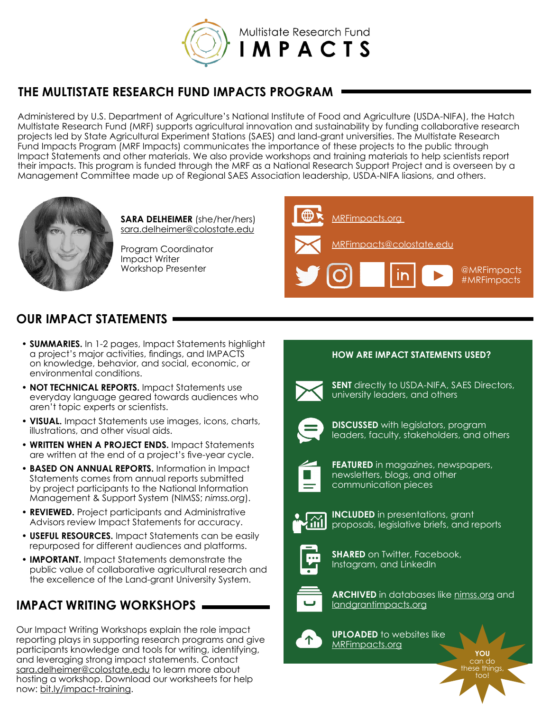

## **THE MULTISTATE RESEARCH FUND IMPACTS PROGRAM**

Administered by U.S. Department of Agriculture's National Institute of Food and Agriculture (USDA-NIFA), the Hatch Multistate Research Fund (MRF) supports agricultural innovation and sustainability by funding collaborative research projects led by State Agricultural Experiment Stations (SAES) and land-grant universities. The Multistate Research Fund Impacts Program (MRF Impacts) communicates the importance of these projects to the public through Impact Statements and other materials. We also provide workshops and training materials to help scientists report their impacts. This program is funded through the MRF as a National Research Support Project and is overseen by a Management Committee made up of Regional SAES Association leadership, USDA-NIFA liasions, and others.



**SARA DELHEIMER** (she/her/hers) [sara.delheimer@colostate.edu](mailto:sara.delheimer%40colostate.edu%20?subject=)

Program Coordinator Impact Writer Workshop Presenter



## **OUR IMPACT STATEMENTS**  $-$

- **• SUMMARIES.** In 1-2 pages, Impact Statements highlight a project's major activities, findings, and IMPACTS on knowledge, behavior, and social, economic, or environmental conditions.
- **• NOT TECHNICAL REPORTS.** Impact Statements use everyday language geared towards audiences who aren't topic experts or scientists.
- **• VISUAL.** Impact Statements use images, icons, charts, illustrations, and other visual aids.
- **• WRITTEN WHEN A PROJECT ENDS.** Impact Statements are written at the end of a project's five-year cycle.
- **• BASED ON ANNUAL REPORTS.** Information in Impact Statements comes from annual reports submitted by project participants to the National Information Management & Support System (NIMSS; *[nimss.org](https://www.nimss.org/)*).
- **• REVIEWED.** Project participants and Administrative Advisors review Impact Statements for accuracy.
- **• USEFUL RESOURCES.** Impact Statements can be easily repurposed for different audiences and platforms.
- **• IMPORTANT.** Impact Statements demonstrate the public value of collaborative agricultural research and the excellence of the Land-grant University System.

# **IMPACT WRITING WORKSHOPS**

Our Impact Writing Workshops explain the role impact reporting plays in supporting research programs and give participants knowledge and tools for writing, identifying, and leveraging strong impact statements. Contact [sara.delheimer@colostate.edu](mailto:sara.delheimer%40colostate.edu?subject=) to learn more about hosting a workshop. Download our worksheets for help now: [bit.ly/impact-training.](http://bit.ly/impact-training)

### **HOW ARE IMPACT STATEMENTS USED?**



**SENT** directly to USDA-NIFA, SAES Directors, university leaders, and others



**DISCUSSED** with legislators, program leaders, faculty, stakeholders, and others



**FEATURED** in magazines, newspapers, newsletters, blogs, and other communication pieces



**INCLUDED** in presentations, grant proposals, legislative briefs, and reports



**SHARED** on Twitter, Facebook, Instagram, and LinkedIn



**ARCHIVED** in databases like nimss.org and [landgrantimpacts.org](http://landgrantimpacts.org)

> **YOU**  can do these things, too!



**UPLOADED** to websites like [MRFimpacts.org](http://MRFimpacts.org)